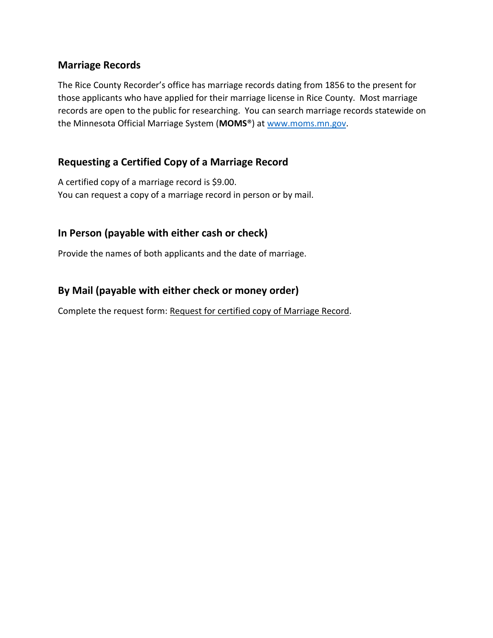#### **Marriage Records**

The Rice County Recorder's office has marriage records dating from 1856 to the present for those applicants who have applied for their marriage license in Rice County. Most marriage records are open to the public for researching. You can search marriage records statewide on the Minnesota Official Marriage System (**MOMS**®) a[t www.moms.mn.gov.](http://www.moms.mn.gov/)

### **Requesting a Certified Copy of a Marriage Record**

A certified copy of a marriage record is \$9.00. You can request a copy of a marriage record in person or by mail.

### **In Person (payable with either cash or check)**

Provide the names of both applicants and the date of marriage.

### **By Mail (payable with either check or money order)**

Complete the request form: Request for certified copy of Marriage Record.